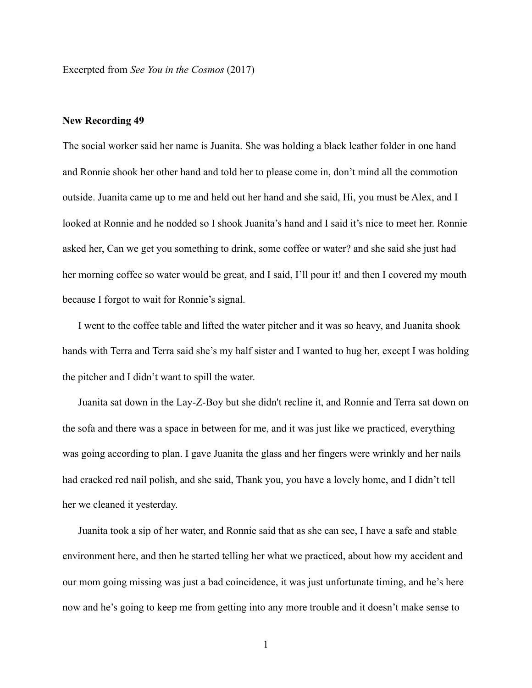Excerpted from *See You in the Cosmos* (2017)

## **New Recording 49**

The social worker said her name is Juanita. She was holding a black leather folder in one hand and Ronnie shook her other hand and told her to please come in, don't mind all the commotion outside. Juanita came up to me and held out her hand and she said, Hi, you must be Alex, and I looked at Ronnie and he nodded so I shook Juanita's hand and I said it's nice to meet her. Ronnie asked her, Can we get you something to drink, some coffee or water? and she said she just had her morning coffee so water would be great, and I said, I'll pour it! and then I covered my mouth because I forgot to wait for Ronnie's signal.

 I went to the coffee table and lifted the water pitcher and it was so heavy, and Juanita shook hands with Terra and Terra said she's my half sister and I wanted to hug her, except I was holding the pitcher and I didn't want to spill the water.

 Juanita sat down in the Lay-Z-Boy but she didn't recline it, and Ronnie and Terra sat down on the sofa and there was a space in between for me, and it was just like we practiced, everything was going according to plan. I gave Juanita the glass and her fingers were wrinkly and her nails had cracked red nail polish, and she said, Thank you, you have a lovely home, and I didn't tell her we cleaned it yesterday.

 Juanita took a sip of her water, and Ronnie said that as she can see, I have a safe and stable environment here, and then he started telling her what we practiced, about how my accident and our mom going missing was just a bad coincidence, it was just unfortunate timing, and he's here now and he's going to keep me from getting into any more trouble and it doesn't make sense to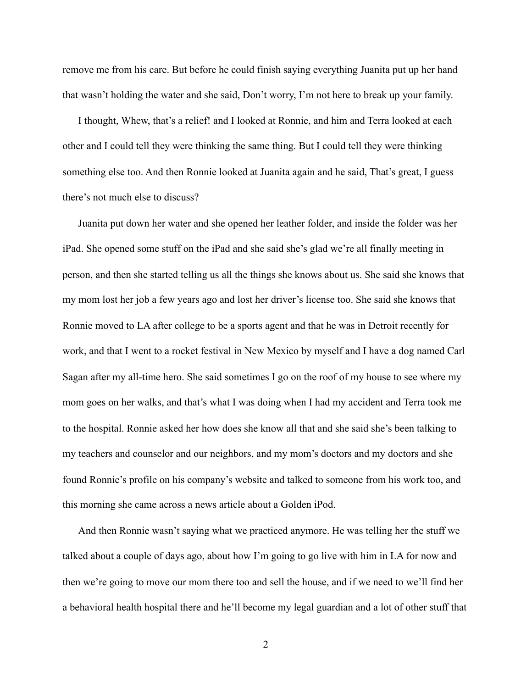remove me from his care. But before he could finish saying everything Juanita put up her hand that wasn't holding the water and she said, Don't worry, I'm not here to break up your family.

 I thought, Whew, that's a relief! and I looked at Ronnie, and him and Terra looked at each other and I could tell they were thinking the same thing. But I could tell they were thinking something else too. And then Ronnie looked at Juanita again and he said, That's great, I guess there's not much else to discuss?

 Juanita put down her water and she opened her leather folder, and inside the folder was her iPad. She opened some stuff on the iPad and she said she's glad we're all finally meeting in person, and then she started telling us all the things she knows about us. She said she knows that my mom lost her job a few years ago and lost her driver's license too. She said she knows that Ronnie moved to LA after college to be a sports agent and that he was in Detroit recently for work, and that I went to a rocket festival in New Mexico by myself and I have a dog named Carl Sagan after my all-time hero. She said sometimes I go on the roof of my house to see where my mom goes on her walks, and that's what I was doing when I had my accident and Terra took me to the hospital. Ronnie asked her how does she know all that and she said she's been talking to my teachers and counselor and our neighbors, and my mom's doctors and my doctors and she found Ronnie's profile on his company's website and talked to someone from his work too, and this morning she came across a news article about a Golden iPod.

 And then Ronnie wasn't saying what we practiced anymore. He was telling her the stuff we talked about a couple of days ago, about how I'm going to go live with him in LA for now and then we're going to move our mom there too and sell the house, and if we need to we'll find her a behavioral health hospital there and he'll become my legal guardian and a lot of other stuff that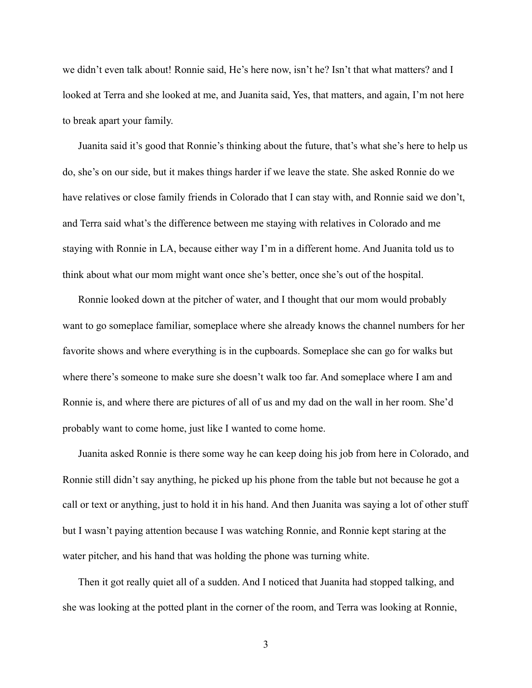we didn't even talk about! Ronnie said, He's here now, isn't he? Isn't that what matters? and I looked at Terra and she looked at me, and Juanita said, Yes, that matters, and again, I'm not here to break apart your family.

 Juanita said it's good that Ronnie's thinking about the future, that's what she's here to help us do, she's on our side, but it makes things harder if we leave the state. She asked Ronnie do we have relatives or close family friends in Colorado that I can stay with, and Ronnie said we don't, and Terra said what's the difference between me staying with relatives in Colorado and me staying with Ronnie in LA, because either way I'm in a different home. And Juanita told us to think about what our mom might want once she's better, once she's out of the hospital.

 Ronnie looked down at the pitcher of water, and I thought that our mom would probably want to go someplace familiar, someplace where she already knows the channel numbers for her favorite shows and where everything is in the cupboards. Someplace she can go for walks but where there's someone to make sure she doesn't walk too far. And someplace where I am and Ronnie is, and where there are pictures of all of us and my dad on the wall in her room. She'd probably want to come home, just like I wanted to come home.

 Juanita asked Ronnie is there some way he can keep doing his job from here in Colorado, and Ronnie still didn't say anything, he picked up his phone from the table but not because he got a call or text or anything, just to hold it in his hand. And then Juanita was saying a lot of other stuff but I wasn't paying attention because I was watching Ronnie, and Ronnie kept staring at the water pitcher, and his hand that was holding the phone was turning white.

 Then it got really quiet all of a sudden. And I noticed that Juanita had stopped talking, and she was looking at the potted plant in the corner of the room, and Terra was looking at Ronnie,

3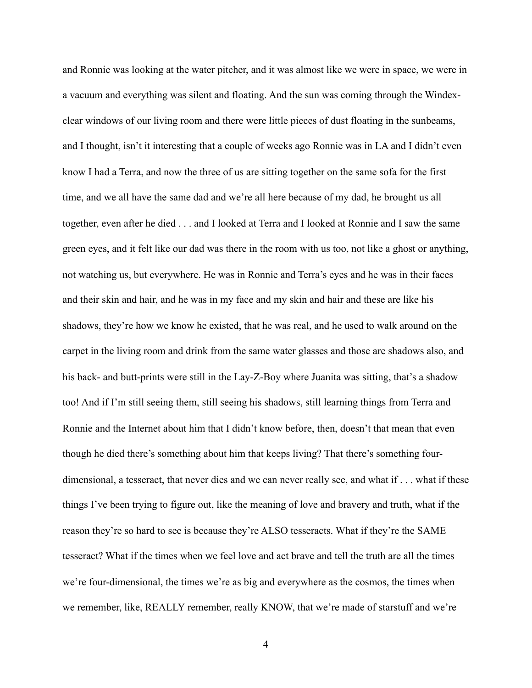and Ronnie was looking at the water pitcher, and it was almost like we were in space, we were in a vacuum and everything was silent and floating. And the sun was coming through the Windexclear windows of our living room and there were little pieces of dust floating in the sunbeams, and I thought, isn't it interesting that a couple of weeks ago Ronnie was in LA and I didn't even know I had a Terra, and now the three of us are sitting together on the same sofa for the first time, and we all have the same dad and we're all here because of my dad, he brought us all together, even after he died . . . and I looked at Terra and I looked at Ronnie and I saw the same green eyes, and it felt like our dad was there in the room with us too, not like a ghost or anything, not watching us, but everywhere. He was in Ronnie and Terra's eyes and he was in their faces and their skin and hair, and he was in my face and my skin and hair and these are like his shadows, they're how we know he existed, that he was real, and he used to walk around on the carpet in the living room and drink from the same water glasses and those are shadows also, and his back- and butt-prints were still in the Lay-Z-Boy where Juanita was sitting, that's a shadow too! And if I'm still seeing them, still seeing his shadows, still learning things from Terra and Ronnie and the Internet about him that I didn't know before, then, doesn't that mean that even though he died there's something about him that keeps living? That there's something fourdimensional, a tesseract, that never dies and we can never really see, and what if . . . what if these things I've been trying to figure out, like the meaning of love and bravery and truth, what if the reason they're so hard to see is because they're ALSO tesseracts. What if they're the SAME tesseract? What if the times when we feel love and act brave and tell the truth are all the times we're four-dimensional, the times we're as big and everywhere as the cosmos, the times when we remember, like, REALLY remember, really KNOW, that we're made of starstuff and we're

4